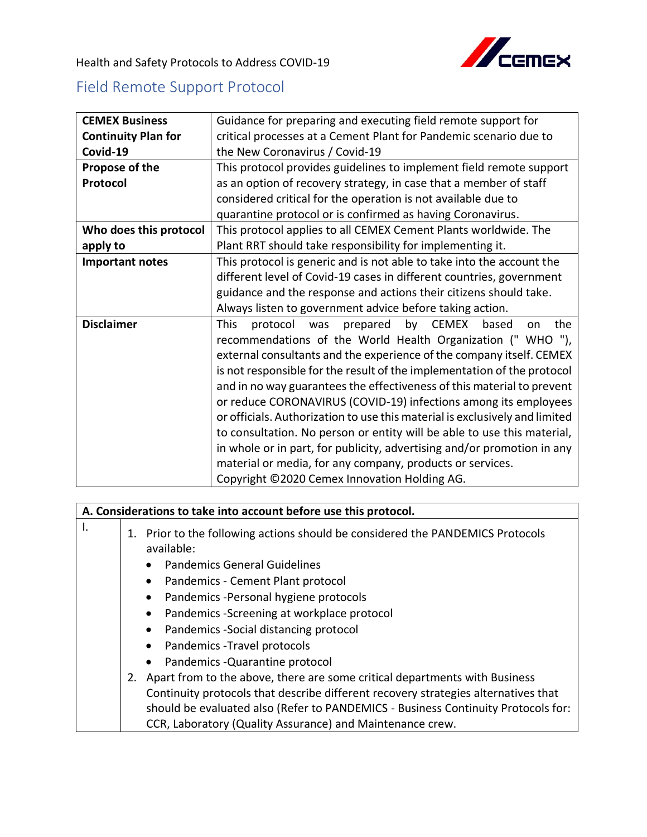

Health and Safety Protocols to Address COVID-19

## Field Remote Support Protocol

| <b>CEMEX Business</b>      | Guidance for preparing and executing field remote support for                |
|----------------------------|------------------------------------------------------------------------------|
| <b>Continuity Plan for</b> | critical processes at a Cement Plant for Pandemic scenario due to            |
| Covid-19                   | the New Coronavirus / Covid-19                                               |
| Propose of the             | This protocol provides guidelines to implement field remote support          |
| Protocol                   | as an option of recovery strategy, in case that a member of staff            |
|                            | considered critical for the operation is not available due to                |
|                            | quarantine protocol or is confirmed as having Coronavirus.                   |
| Who does this protocol     | This protocol applies to all CEMEX Cement Plants worldwide. The              |
| apply to                   | Plant RRT should take responsibility for implementing it.                    |
| <b>Important notes</b>     | This protocol is generic and is not able to take into the account the        |
|                            | different level of Covid-19 cases in different countries, government         |
|                            | guidance and the response and actions their citizens should take.            |
|                            | Always listen to government advice before taking action.                     |
| <b>Disclaimer</b>          | by CEMEX<br><b>This</b><br>prepared<br>protocol<br>was<br>based<br>the<br>on |
|                            | recommendations of the World Health Organization ("WHO"),                    |
|                            | external consultants and the experience of the company itself. CEMEX         |
|                            | is not responsible for the result of the implementation of the protocol      |
|                            | and in no way guarantees the effectiveness of this material to prevent       |
|                            | or reduce CORONAVIRUS (COVID-19) infections among its employees              |
|                            | or officials. Authorization to use this material is exclusively and limited  |
|                            | to consultation. No person or entity will be able to use this material,      |
|                            | in whole or in part, for publicity, advertising and/or promotion in any      |
|                            | material or media, for any company, products or services.                    |
|                            | Copyright ©2020 Cemex Innovation Holding AG.                                 |

## **A. Considerations to take into account before use this protocol.**  $\begin{array}{c|c} 1. & \end{array}$  1. Prior to the following actions should be considered the PANDEMICS Protocols available: • Pandemics General Guidelines • Pandemics - Cement Plant protocol • Pandemics -Personal hygiene protocols • Pandemics -Screening at workplace protocol • Pandemics -Social distancing protocol • Pandemics -Travel protocols • Pandemics -Quarantine protocol 2. Apart from to the above, there are some critical departments with Business Continuity protocols that describe different recovery strategies alternatives that should be evaluated also (Refer to PANDEMICS - Business Continuity Protocols for: CCR, Laboratory (Quality Assurance) and Maintenance crew.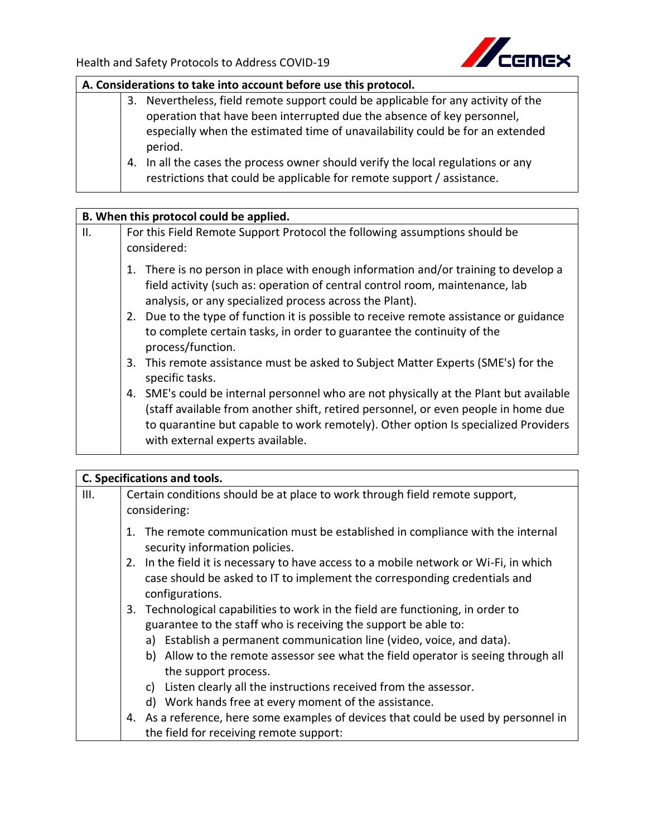

## **A. Considerations to take into account before use this protocol.**

- 3. Nevertheless, field remote support could be applicable for any activity of the operation that have been interrupted due the absence of key personnel, especially when the estimated time of unavailability could be for an extended period.
- 4. In all the cases the process owner should verify the local regulations or any restrictions that could be applicable for remote support / assistance.

## **B. When this protocol could be applied.**

| II. | For this Field Remote Support Protocol the following assumptions should be<br>considered:                                                                                                                                                                                                              |
|-----|--------------------------------------------------------------------------------------------------------------------------------------------------------------------------------------------------------------------------------------------------------------------------------------------------------|
|     | 1. There is no person in place with enough information and/or training to develop a<br>field activity (such as: operation of central control room, maintenance, lab<br>analysis, or any specialized process across the Plant).                                                                         |
|     | 2. Due to the type of function it is possible to receive remote assistance or guidance<br>to complete certain tasks, in order to guarantee the continuity of the<br>process/function.                                                                                                                  |
|     | This remote assistance must be asked to Subject Matter Experts (SME's) for the<br>3.<br>specific tasks.                                                                                                                                                                                                |
|     | 4. SME's could be internal personnel who are not physically at the Plant but available<br>(staff available from another shift, retired personnel, or even people in home due<br>to quarantine but capable to work remotely). Other option Is specialized Providers<br>with external experts available. |

|      | C. Specifications and tools.                                                                                      |  |  |
|------|-------------------------------------------------------------------------------------------------------------------|--|--|
| III. | Certain conditions should be at place to work through field remote support,                                       |  |  |
|      | considering:                                                                                                      |  |  |
|      | 1. The remote communication must be established in compliance with the internal<br>security information policies. |  |  |
|      | In the field it is necessary to have access to a mobile network or Wi-Fi, in which<br>2.                          |  |  |
|      | case should be asked to IT to implement the corresponding credentials and                                         |  |  |
|      | configurations.                                                                                                   |  |  |
|      | Technological capabilities to work in the field are functioning, in order to<br>3.                                |  |  |
|      | guarantee to the staff who is receiving the support be able to:                                                   |  |  |
|      | Establish a permanent communication line (video, voice, and data).<br>a)                                          |  |  |
|      | b) Allow to the remote assessor see what the field operator is seeing through all                                 |  |  |
|      | the support process.                                                                                              |  |  |
|      | Listen clearly all the instructions received from the assessor.<br>C)                                             |  |  |
|      | d) Work hands free at every moment of the assistance.                                                             |  |  |
|      | 4. As a reference, here some examples of devices that could be used by personnel in                               |  |  |
|      | the field for receiving remote support:                                                                           |  |  |